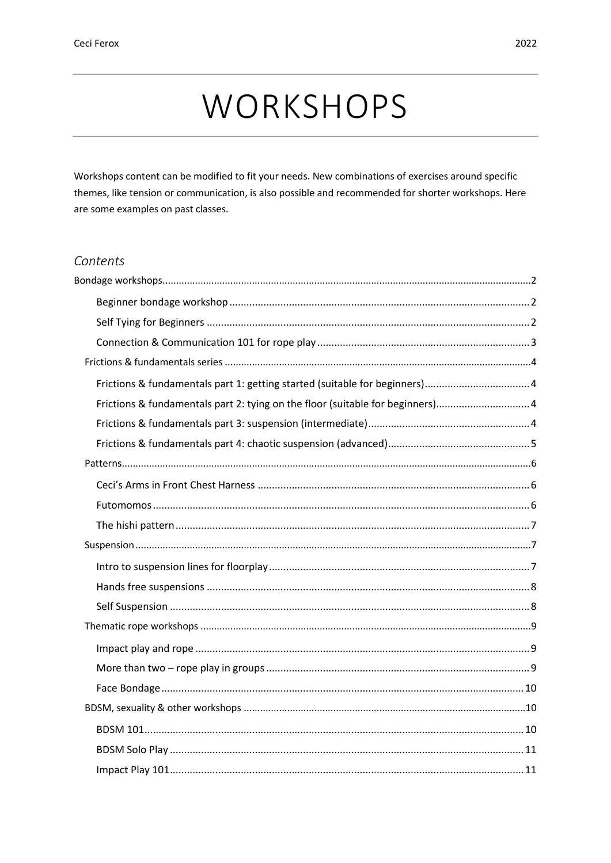# WORKSHOPS

Workshops content can be modified to fit your needs. New combinations of exercises around specific themes, like tension or communication, is also possible and recommended for shorter workshops. Here are some examples on past classes.

#### Contents

| Frictions & fundamentals part 2: tying on the floor (suitable for beginners)4 |  |
|-------------------------------------------------------------------------------|--|
|                                                                               |  |
|                                                                               |  |
|                                                                               |  |
|                                                                               |  |
|                                                                               |  |
|                                                                               |  |
|                                                                               |  |
|                                                                               |  |
|                                                                               |  |
|                                                                               |  |
|                                                                               |  |
|                                                                               |  |
|                                                                               |  |
|                                                                               |  |
|                                                                               |  |
|                                                                               |  |
|                                                                               |  |
|                                                                               |  |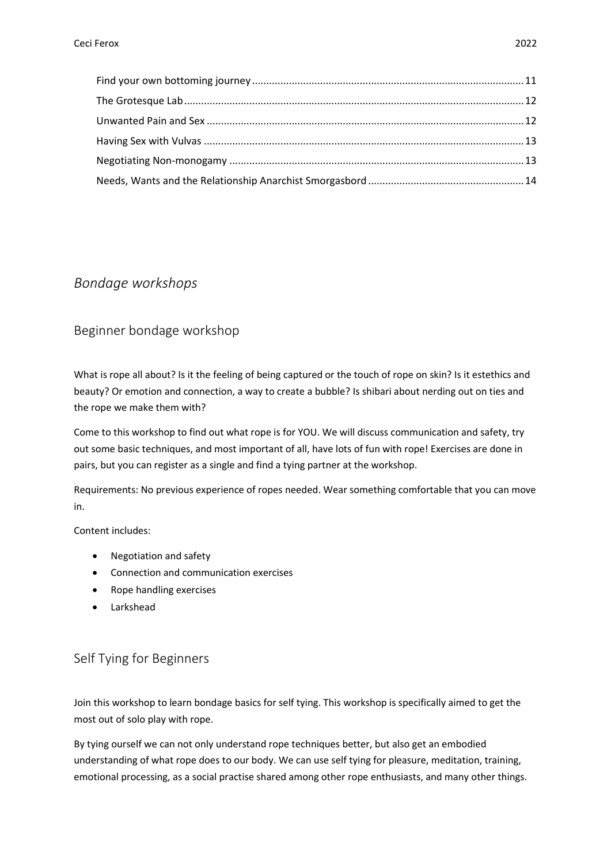## <span id="page-1-0"></span>*Bondage workshops*

## <span id="page-1-1"></span>Beginner bondage workshop

What is rope all about? Is it the feeling of being captured or the touch of rope on skin? Is it estethics and beauty? Or emotion and connection, a way to create a bubble? Is shibari about nerding out on ties and the rope we make them with?

Come to this workshop to find out what rope is for YOU. We will discuss communication and safety, try out some basic techniques, and most important of all, have lots of fun with rope! Exercises are done in pairs, but you can register as a single and find a tying partner at the workshop.

Requirements: No previous experience of ropes needed. Wear something comfortable that you can move in.

Content includes:

- Negotiation and safety
- Connection and communication exercises
- Rope handling exercises
- Larkshead

## <span id="page-1-2"></span>Self Tying for Beginners

Join this workshop to learn bondage basics for self tying. This workshop is specifically aimed to get the most out of solo play with rope.

By tying ourself we can not only understand rope techniques better, but also get an embodied understanding of what rope does to our body. We can use self tying for pleasure, meditation, training, emotional processing, as a social practise shared among other rope enthusiasts, and many other things.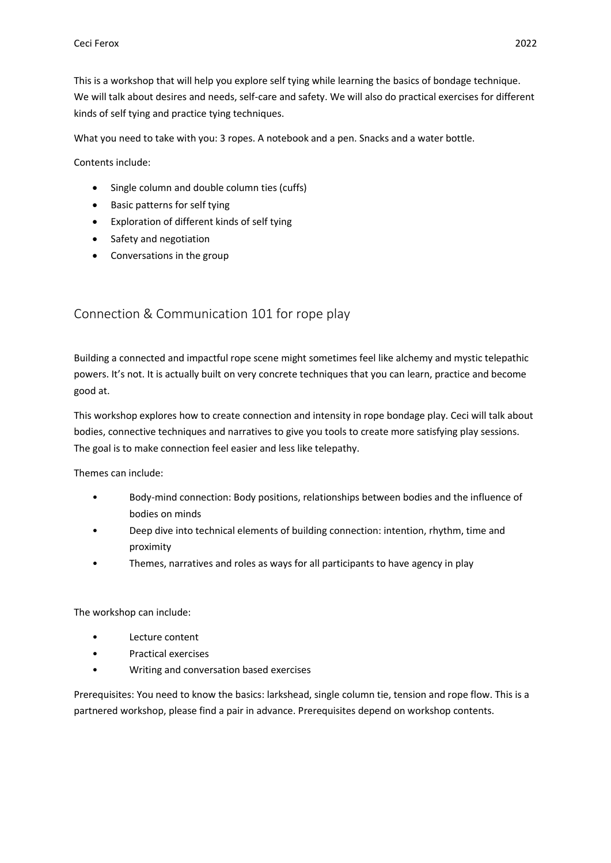This is a workshop that will help you explore self tying while learning the basics of bondage technique. We will talk about desires and needs, self-care and safety. We will also do practical exercises for different kinds of self tying and practice tying techniques.

What you need to take with you: 3 ropes. A notebook and a pen. Snacks and a water bottle.

Contents include:

- Single column and double column ties (cuffs)
- Basic patterns for self tying
- Exploration of different kinds of self tying
- Safety and negotiation
- Conversations in the group

#### <span id="page-2-0"></span>Connection & Communication 101 for rope play

Building a connected and impactful rope scene might sometimes feel like alchemy and mystic telepathic powers. It's not. It is actually built on very concrete techniques that you can learn, practice and become good at.

This workshop explores how to create connection and intensity in rope bondage play. Ceci will talk about bodies, connective techniques and narratives to give you tools to create more satisfying play sessions. The goal is to make connection feel easier and less like telepathy.

Themes can include:

- Body-mind connection: Body positions, relationships between bodies and the influence of bodies on minds
- Deep dive into technical elements of building connection: intention, rhythm, time and proximity
- Themes, narratives and roles as ways for all participants to have agency in play

The workshop can include:

- Lecture content
- Practical exercises
- Writing and conversation based exercises

Prerequisites: You need to know the basics: larkshead, single column tie, tension and rope flow. This is a partnered workshop, please find a pair in advance. Prerequisites depend on workshop contents.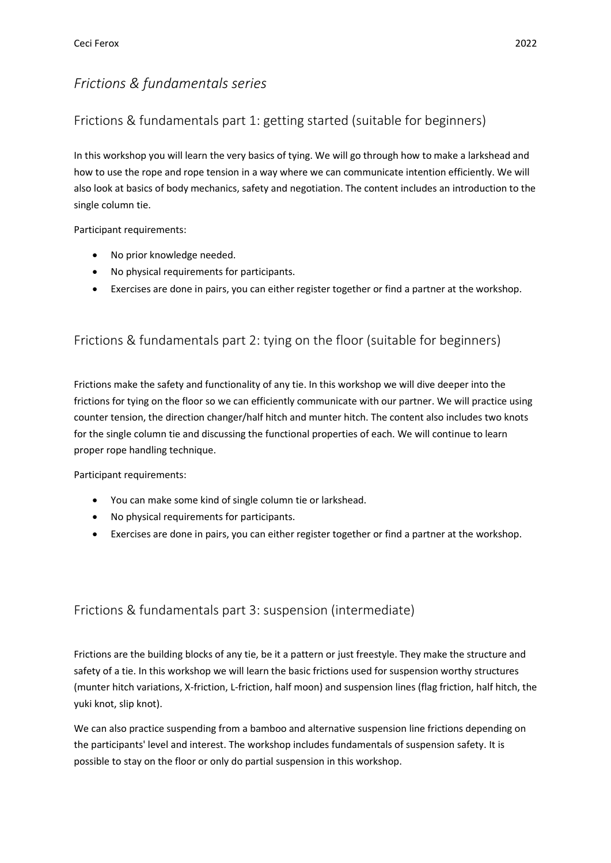# <span id="page-3-0"></span>*Frictions & fundamentals series*

## <span id="page-3-1"></span>Frictions & fundamentals part 1: getting started (suitable for beginners)

In this workshop you will learn the very basics of tying. We will go through how to make a larkshead and how to use the rope and rope tension in a way where we can communicate intention efficiently. We will also look at basics of body mechanics, safety and negotiation. The content includes an introduction to the single column tie.

Participant requirements:

- No prior knowledge needed.
- No physical requirements for participants.
- Exercises are done in pairs, you can either register together or find a partner at the workshop.

# <span id="page-3-2"></span>Frictions & fundamentals part 2: tying on the floor (suitable for beginners)

Frictions make the safety and functionality of any tie. In this workshop we will dive deeper into the frictions for tying on the floor so we can efficiently communicate with our partner. We will practice using counter tension, the direction changer/half hitch and munter hitch. The content also includes two knots for the single column tie and discussing the functional properties of each. We will continue to learn proper rope handling technique.

Participant requirements:

- You can make some kind of single column tie or larkshead.
- No physical requirements for participants.
- Exercises are done in pairs, you can either register together or find a partner at the workshop.

## <span id="page-3-3"></span>Frictions & fundamentals part 3: suspension (intermediate)

Frictions are the building blocks of any tie, be it a pattern or just freestyle. They make the structure and safety of a tie. In this workshop we will learn the basic frictions used for suspension worthy structures (munter hitch variations, X-friction, L-friction, half moon) and suspension lines (flag friction, half hitch, the yuki knot, slip knot).

We can also practice suspending from a bamboo and alternative suspension line frictions depending on the participants' level and interest. The workshop includes fundamentals of suspension safety. It is possible to stay on the floor or only do partial suspension in this workshop.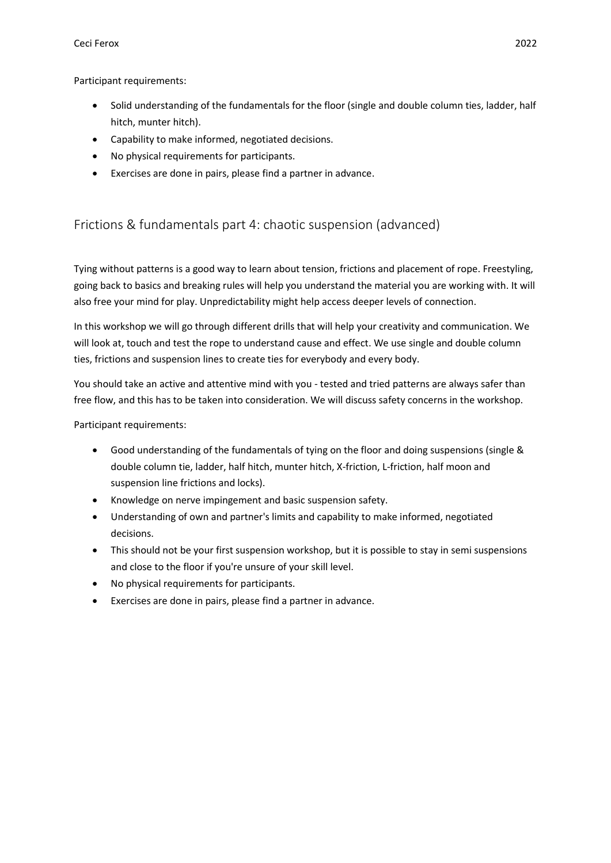#### Ceci Ferox 2022

Participant requirements:

- Solid understanding of the fundamentals for the floor (single and double column ties, ladder, half hitch, munter hitch).
- Capability to make informed, negotiated decisions.
- No physical requirements for participants.
- Exercises are done in pairs, please find a partner in advance.

# <span id="page-4-0"></span>Frictions & fundamentals part 4: chaotic suspension (advanced)

Tying without patterns is a good way to learn about tension, frictions and placement of rope. Freestyling, going back to basics and breaking rules will help you understand the material you are working with. It will also free your mind for play. Unpredictability might help access deeper levels of connection.

In this workshop we will go through different drills that will help your creativity and communication. We will look at, touch and test the rope to understand cause and effect. We use single and double column ties, frictions and suspension lines to create ties for everybody and every body.

You should take an active and attentive mind with you - tested and tried patterns are always safer than free flow, and this has to be taken into consideration. We will discuss safety concerns in the workshop.

Participant requirements:

- Good understanding of the fundamentals of tying on the floor and doing suspensions (single & double column tie, ladder, half hitch, munter hitch, X-friction, L-friction, half moon and suspension line frictions and locks).
- Knowledge on nerve impingement and basic suspension safety.
- Understanding of own and partner's limits and capability to make informed, negotiated decisions.
- This should not be your first suspension workshop, but it is possible to stay in semi suspensions and close to the floor if you're unsure of your skill level.
- No physical requirements for participants.
- Exercises are done in pairs, please find a partner in advance.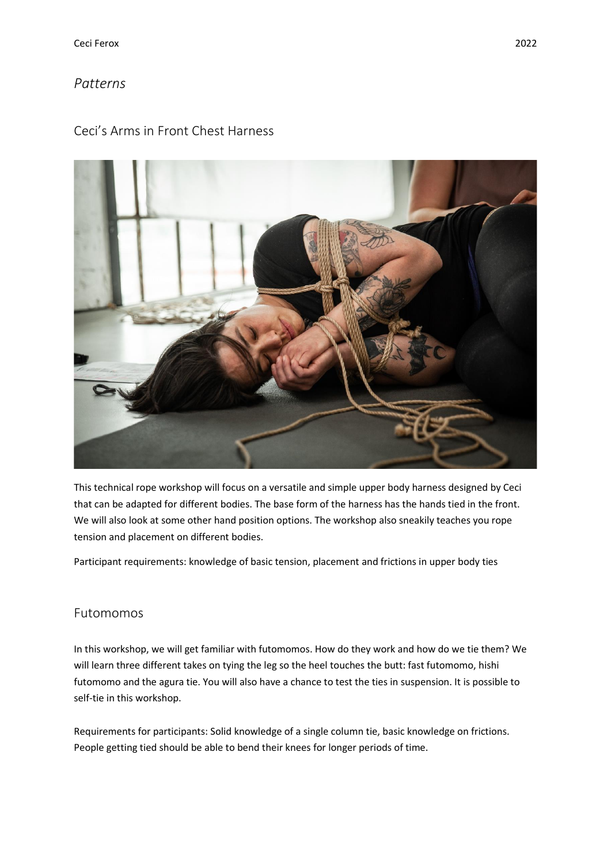## <span id="page-5-0"></span>*Patterns*

## <span id="page-5-1"></span>Ceci's Arms in Front Chest Harness



This technical rope workshop will focus on a versatile and simple upper body harness designed by Ceci that can be adapted for different bodies. The base form of the harness has the hands tied in the front. We will also look at some other hand position options. The workshop also sneakily teaches you rope tension and placement on different bodies.

Participant requirements: knowledge of basic tension, placement and frictions in upper body ties

## <span id="page-5-2"></span>Futomomos

In this workshop, we will get familiar with futomomos. How do they work and how do we tie them? We will learn three different takes on tying the leg so the heel touches the butt: fast futomomo, hishi futomomo and the agura tie. You will also have a chance to test the ties in suspension. It is possible to self-tie in this workshop.

Requirements for participants: Solid knowledge of a single column tie, basic knowledge on frictions. People getting tied should be able to bend their knees for longer periods of time.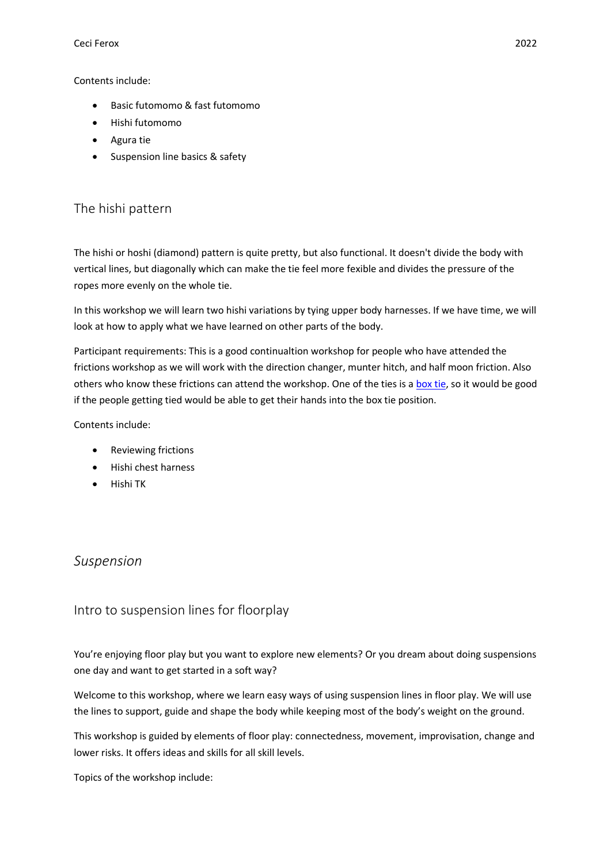Contents include:

- Basic futomomo & fast futomomo
- Hishi futomomo
- Agura tie
- Suspension line basics & safety

## <span id="page-6-0"></span>The hishi pattern

The hishi or hoshi (diamond) pattern is quite pretty, but also functional. It doesn't divide the body with vertical lines, but diagonally which can make the tie feel more fexible and divides the pressure of the ropes more evenly on the whole tie.

In this workshop we will learn two hishi variations by tying upper body harnesses. If we have time, we will look at how to apply what we have learned on other parts of the body.

Participant requirements: This is a good continualtion workshop for people who have attended the frictions workshop as we will work with the direction changer, munter hitch, and half moon friction. Also others who know these frictions can attend the workshop. One of the ties is a [box](https://crash-restraint.com/blog/files/44.png) tie, so it would be good if the people getting tied would be able to get their hands into the box tie position.

Contents include:

- Reviewing frictions
- Hishi chest harness
- Hishi TK

## <span id="page-6-1"></span>*Suspension*

## <span id="page-6-2"></span>Intro to suspension lines for floorplay

You're enjoying floor play but you want to explore new elements? Or you dream about doing suspensions one day and want to get started in a soft way?

Welcome to this workshop, where we learn easy ways of using suspension lines in floor play. We will use the lines to support, guide and shape the body while keeping most of the body's weight on the ground.

This workshop is guided by elements of floor play: connectedness, movement, improvisation, change and lower risks. It offers ideas and skills for all skill levels.

Topics of the workshop include: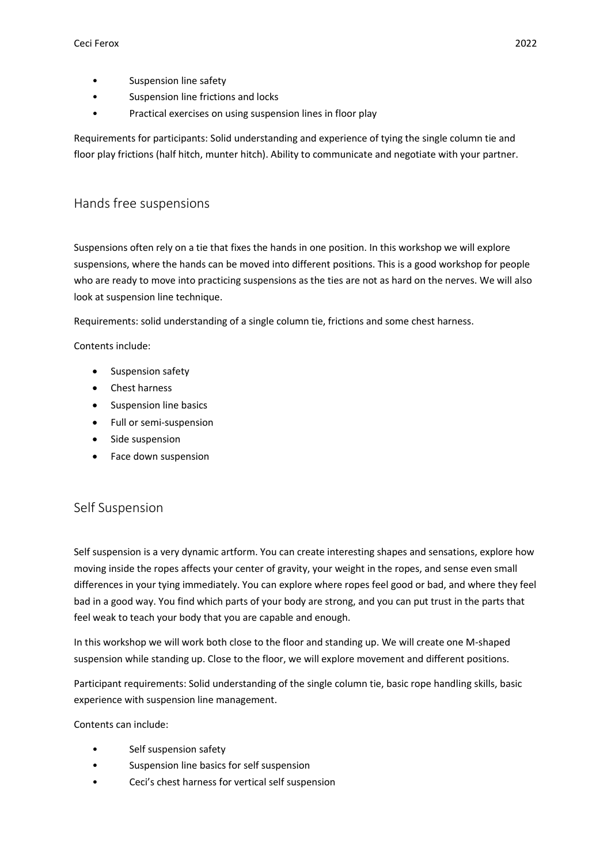- Suspension line safety
- Suspension line frictions and locks
- Practical exercises on using suspension lines in floor play

Requirements for participants: Solid understanding and experience of tying the single column tie and floor play frictions (half hitch, munter hitch). Ability to communicate and negotiate with your partner.

#### <span id="page-7-0"></span>Hands free suspensions

Suspensions often rely on a tie that fixes the hands in one position. In this workshop we will explore suspensions, where the hands can be moved into different positions. This is a good workshop for people who are ready to move into practicing suspensions as the ties are not as hard on the nerves. We will also look at suspension line technique.

Requirements: solid understanding of a single column tie, frictions and some chest harness.

Contents include:

- Suspension safety
- Chest harness
- Suspension line basics
- Full or semi-suspension
- Side suspension
- Face down suspension

#### <span id="page-7-1"></span>Self Suspension

Self suspension is a very dynamic artform. You can create interesting shapes and sensations, explore how moving inside the ropes affects your center of gravity, your weight in the ropes, and sense even small differences in your tying immediately. You can explore where ropes feel good or bad, and where they feel bad in a good way. You find which parts of your body are strong, and you can put trust in the parts that feel weak to teach your body that you are capable and enough.

In this workshop we will work both close to the floor and standing up. We will create one M-shaped suspension while standing up. Close to the floor, we will explore movement and different positions.

Participant requirements: Solid understanding of the single column tie, basic rope handling skills, basic experience with suspension line management.

Contents can include:

- Self suspension safety
- Suspension line basics for self suspension
- Ceci's chest harness for vertical self suspension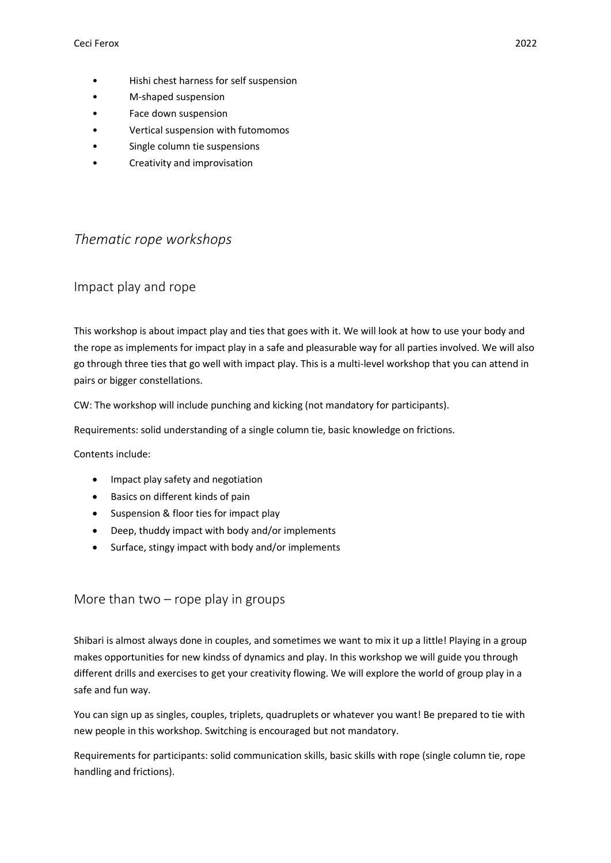- Hishi chest harness for self suspension
- M-shaped suspension
- Face down suspension
- Vertical suspension with futomomos
- Single column tie suspensions
- Creativity and improvisation

## <span id="page-8-0"></span>*Thematic rope workshops*

#### <span id="page-8-1"></span>Impact play and rope

This workshop is about impact play and ties that goes with it. We will look at how to use your body and the rope as implements for impact play in a safe and pleasurable way for all parties involved. We will also go through three ties that go well with impact play. This is a multi-level workshop that you can attend in pairs or bigger constellations.

CW: The workshop will include punching and kicking (not mandatory for participants).

Requirements: solid understanding of a single column tie, basic knowledge on frictions.

Contents include:

- Impact play safety and negotiation
- Basics on different kinds of pain
- Suspension & floor ties for impact play
- Deep, thuddy impact with body and/or implements
- Surface, stingy impact with body and/or implements

#### <span id="page-8-2"></span>More than two  $-$  rope play in groups

Shibari is almost always done in couples, and sometimes we want to mix it up a little! Playing in a group makes opportunities for new kindss of dynamics and play. In this workshop we will guide you through different drills and exercises to get your creativity flowing. We will explore the world of group play in a safe and fun way.

You can sign up as singles, couples, triplets, quadruplets or whatever you want! Be prepared to tie with new people in this workshop. Switching is encouraged but not mandatory.

Requirements for participants: solid communication skills, basic skills with rope (single column tie, rope handling and frictions).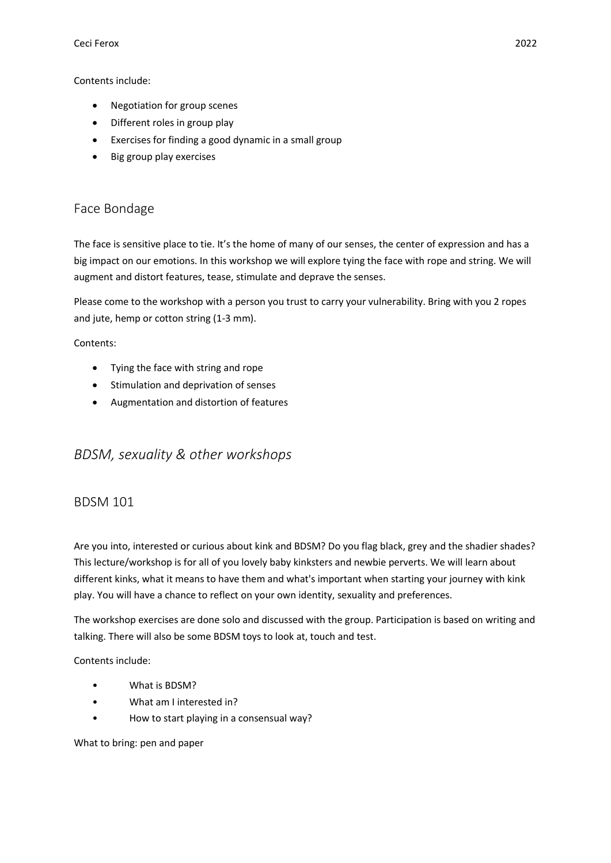Contents include:

- Negotiation for group scenes
- Different roles in group play
- Exercises for finding a good dynamic in a small group
- Big group play exercises

## <span id="page-9-0"></span>Face Bondage

The face is sensitive place to tie. It's the home of many of our senses, the center of expression and has a big impact on our emotions. In this workshop we will explore tying the face with rope and string. We will augment and distort features, tease, stimulate and deprave the senses.

Please come to the workshop with a person you trust to carry your vulnerability. Bring with you 2 ropes and jute, hemp or cotton string (1-3 mm).

Contents:

- Tying the face with string and rope
- Stimulation and deprivation of senses
- Augmentation and distortion of features

## <span id="page-9-1"></span>*BDSM, sexuality & other workshops*

#### <span id="page-9-2"></span>BDSM 101

Are you into, interested or curious about kink and BDSM? Do you flag black, grey and the shadier shades? This lecture/workshop is for all of you lovely baby kinksters and newbie perverts. We will learn about different kinks, what it means to have them and what's important when starting your journey with kink play. You will have a chance to reflect on your own identity, sexuality and preferences.

The workshop exercises are done solo and discussed with the group. Participation is based on writing and talking. There will also be some BDSM toys to look at, touch and test.

Contents include:

- What is BDSM?
- What am I interested in?
- How to start playing in a consensual way?

What to bring: pen and paper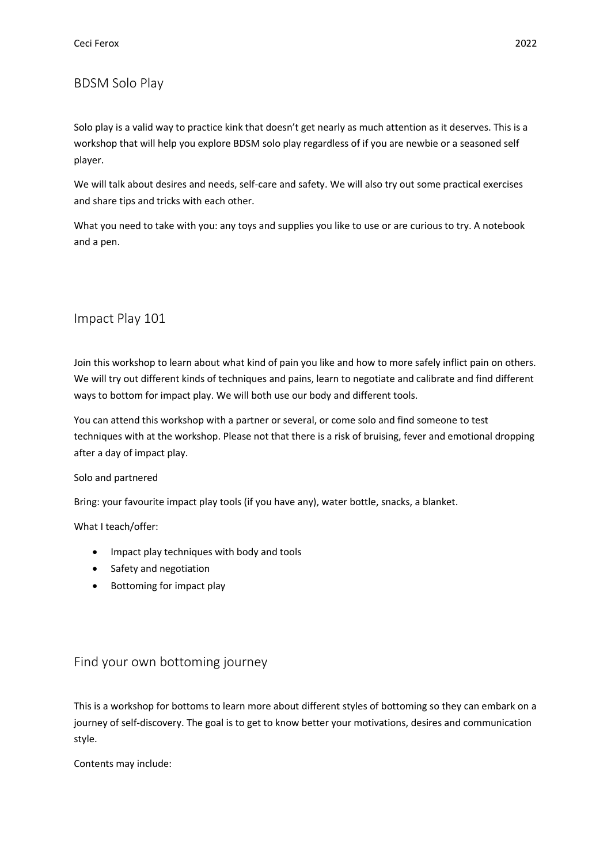## <span id="page-10-0"></span>BDSM Solo Play

Solo play is a valid way to practice kink that doesn't get nearly as much attention as it deserves. This is a workshop that will help you explore BDSM solo play regardless of if you are newbie or a seasoned self player.

We will talk about desires and needs, self-care and safety. We will also try out some practical exercises and share tips and tricks with each other.

What you need to take with you: any toys and supplies you like to use or are curious to try. A notebook and a pen.

#### <span id="page-10-1"></span>Impact Play 101

Join this workshop to learn about what kind of pain you like and how to more safely inflict pain on others. We will try out different kinds of techniques and pains, learn to negotiate and calibrate and find different ways to bottom for impact play. We will both use our body and different tools.

You can attend this workshop with a partner or several, or come solo and find someone to test techniques with at the workshop. Please not that there is a risk of bruising, fever and emotional dropping after a day of impact play.

#### Solo and partnered

Bring: your favourite impact play tools (if you have any), water bottle, snacks, a blanket.

What I teach/offer:

- Impact play techniques with body and tools
- Safety and negotiation
- Bottoming for impact play

## <span id="page-10-2"></span>Find your own bottoming journey

This is a workshop for bottoms to learn more about different styles of bottoming so they can embark on a journey of self-discovery. The goal is to get to know better your motivations, desires and communication style.

Contents may include: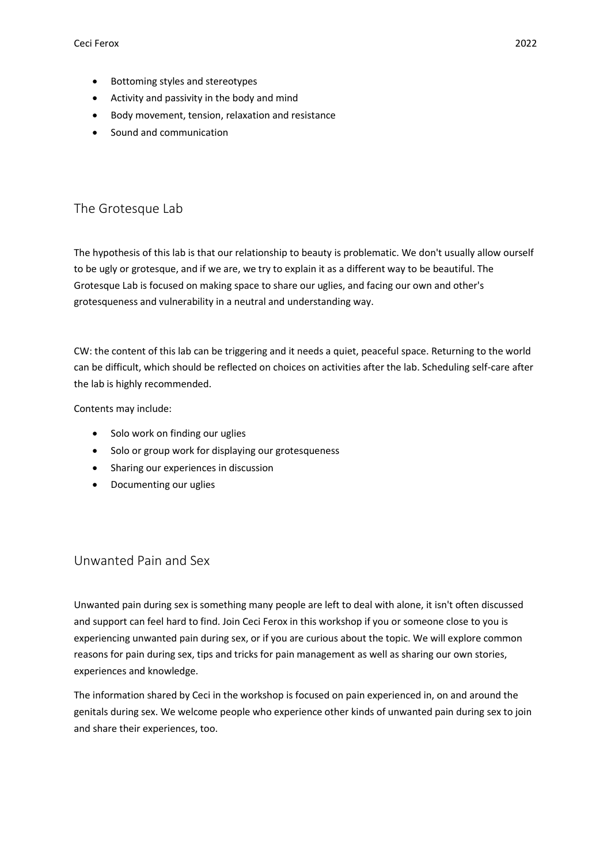- Bottoming styles and stereotypes
- Activity and passivity in the body and mind
- Body movement, tension, relaxation and resistance
- Sound and communication

## <span id="page-11-0"></span>The Grotesque Lab

The hypothesis of this lab is that our relationship to beauty is problematic. We don't usually allow ourself to be ugly or grotesque, and if we are, we try to explain it as a different way to be beautiful. The Grotesque Lab is focused on making space to share our uglies, and facing our own and other's grotesqueness and vulnerability in a neutral and understanding way.

CW: the content of this lab can be triggering and it needs a quiet, peaceful space. Returning to the world can be difficult, which should be reflected on choices on activities after the lab. Scheduling self-care after the lab is highly recommended.

Contents may include:

- Solo work on finding our uglies
- Solo or group work for displaying our grotesqueness
- Sharing our experiences in discussion
- Documenting our uglies

#### <span id="page-11-1"></span>Unwanted Pain and Sex

Unwanted pain during sex is something many people are left to deal with alone, it isn't often discussed and support can feel hard to find. Join Ceci Ferox in this workshop if you or someone close to you is experiencing unwanted pain during sex, or if you are curious about the topic. We will explore common reasons for pain during sex, tips and tricks for pain management as well as sharing our own stories, experiences and knowledge.

The information shared by Ceci in the workshop is focused on pain experienced in, on and around the genitals during sex. We welcome people who experience other kinds of unwanted pain during sex to join and share their experiences, too.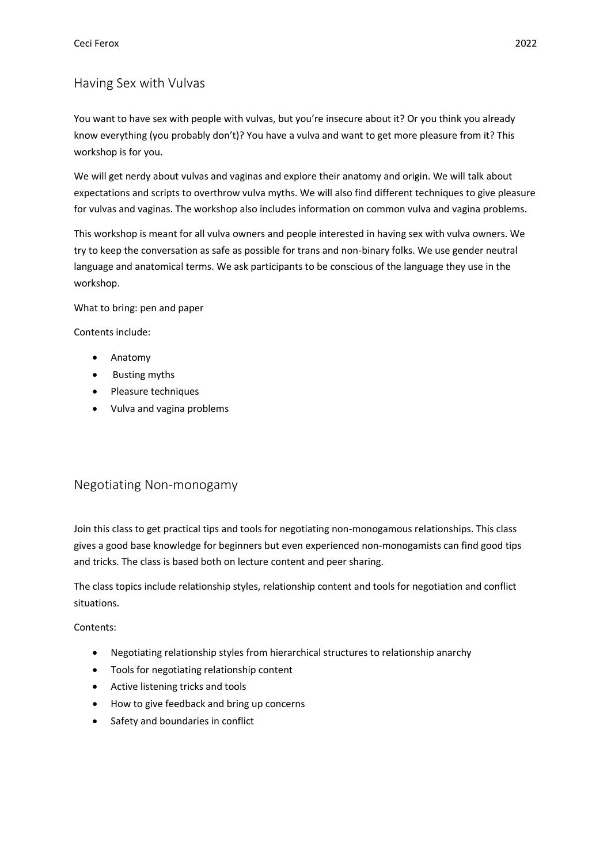## <span id="page-12-0"></span>Having Sex with Vulvas

You want to have sex with people with vulvas, but you're insecure about it? Or you think you already know everything (you probably don't)? You have a vulva and want to get more pleasure from it? This workshop is for you.

We will get nerdy about vulvas and vaginas and explore their anatomy and origin. We will talk about expectations and scripts to overthrow vulva myths. We will also find different techniques to give pleasure for vulvas and vaginas. The workshop also includes information on common vulva and vagina problems.

This workshop is meant for all vulva owners and people interested in having sex with vulva owners. We try to keep the conversation as safe as possible for trans and non-binary folks. We use gender neutral language and anatomical terms. We ask participants to be conscious of the language they use in the workshop.

What to bring: pen and paper

Contents include:

- Anatomy
- Busting myths
- Pleasure techniques
- Vulva and vagina problems

## <span id="page-12-1"></span>Negotiating Non-monogamy

Join this class to get practical tips and tools for negotiating non-monogamous relationships. This class gives a good base knowledge for beginners but even experienced non-monogamists can find good tips and tricks. The class is based both on lecture content and peer sharing.

The class topics include relationship styles, relationship content and tools for negotiation and conflict situations.

Contents:

- Negotiating relationship styles from hierarchical structures to relationship anarchy
- Tools for negotiating relationship content
- Active listening tricks and tools
- How to give feedback and bring up concerns
- Safety and boundaries in conflict